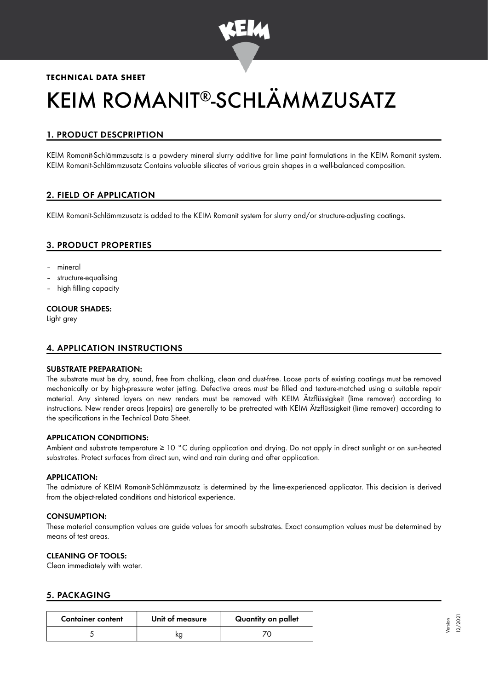

## **TECHNICAL DATA SHEET**

# KEIM ROMANIT®-SCHLÄMMZUSATZ

# 1. PRODUCT DESCPRIPTION

KEIM Romanit-Schlämmzusatz is a powdery mineral slurry additive for lime paint formulations in the KEIM Romanit system. KEIM Romanit-Schlämmzusatz Contains valuable silicates of various grain shapes in a well-balanced composition.

# 2. FIELD OF APPLICATION

KEIM Romanit-Schlämmzusatz is added to the KEIM Romanit system for slurry and/or structure-adjusting coatings.

## 3. PRODUCT PROPERTIES

- mineral
- structure-equalising
- high filling capacity

#### COLOUR SHADES:

Light grey

## 4. APPLICATION INSTRUCTIONS

#### SUBSTRATE PREPARATION:

The substrate must be dry, sound, free from chalking, clean and dust-free. Loose parts of existing coatings must be removed mechanically or by high-pressure water jetting. Defective areas must be filled and texture-matched using a suitable repair material. Any sintered layers on new renders must be removed with KEIM Ätzflüssigkeit (lime remover) according to instructions. New render areas (repairs) are generally to be pretreated with KEIM Ätzflüssigkeit (lime remover) according to the specifications in the Technical Data Sheet.

#### APPLICATION CONDITIONS:

Ambient and substrate temperature ≥ 10 °C during application and drying. Do not apply in direct sunlight or on sun-heated substrates. Protect surfaces from direct sun, wind and rain during and after application.

#### APPLICATION:

The admixture of KEIM Romanit-Schlämmzusatz is determined by the lime-experienced applicator. This decision is derived from the object-related conditions and historical experience.

#### CONSUMPTION:

These material consumption values are guide values for smooth substrates. Exact consumption values must be determined by means of test areas.

### CLEANING OF TOOLS:

Clean immediately with water.

#### 5. PACKAGING

| <b>Container content</b> | Unit of measure | Quantity on pallet |
|--------------------------|-----------------|--------------------|
|                          |                 |                    |